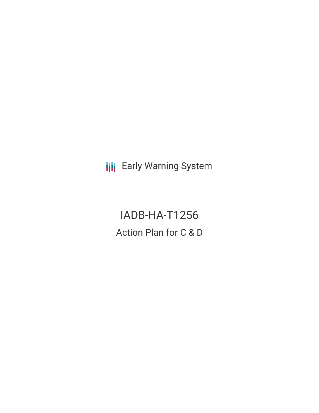**III** Early Warning System

IADB-HA-T1256 Action Plan for C & D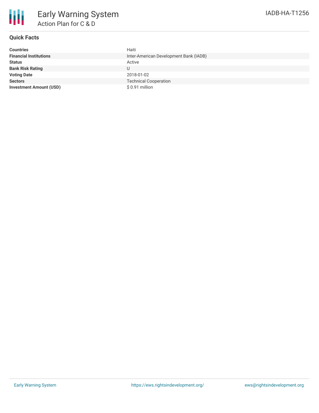

### **Quick Facts**

| <b>Countries</b>               | Haiti                                  |
|--------------------------------|----------------------------------------|
| <b>Financial Institutions</b>  | Inter-American Development Bank (IADB) |
| <b>Status</b>                  | Active                                 |
| <b>Bank Risk Rating</b>        | U                                      |
| <b>Voting Date</b>             | 2018-01-02                             |
| <b>Sectors</b>                 | <b>Technical Cooperation</b>           |
| <b>Investment Amount (USD)</b> | $$0.91$ million                        |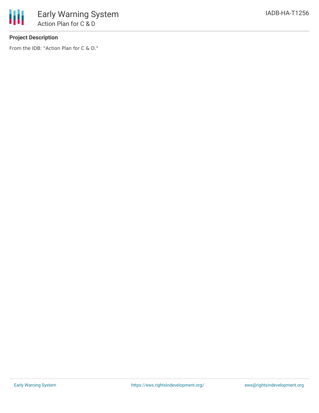

# **Project Description**

From the IDB: "Action Plan for C & D."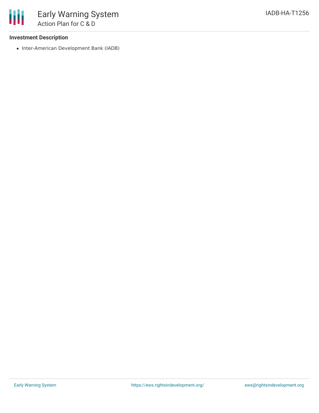## **Investment Description**

• Inter-American Development Bank (IADB)